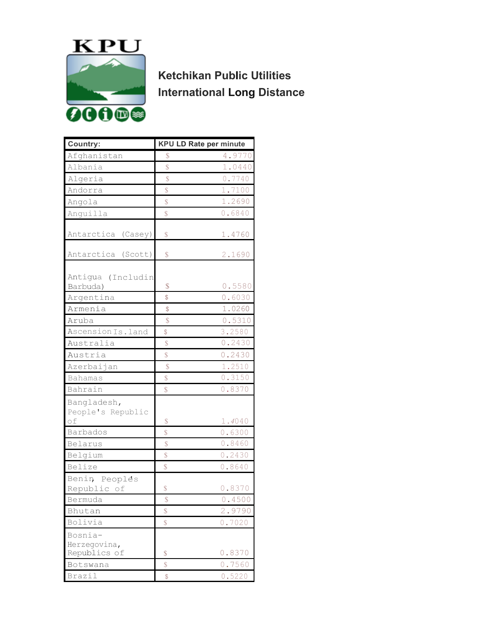

**Ketchikan Public Utilities International Long Distance**

| <b>Country:</b>       |                         | <b>KPU LD Rate per minute</b> |
|-----------------------|-------------------------|-------------------------------|
| Afghanistan           | $\mathcal{S}$           | 4.9770                        |
| Albania               | \$                      | 1.0440                        |
| Algeria               | \$                      | 0.7740                        |
| Andorra               | $\sqrt{\frac{2}{5}}$    | 1.7100                        |
| Angola                | \$                      | 1.2690                        |
| Anguilla              | $\mathcal{S}$           | 0.6840                        |
|                       |                         |                               |
| Antarctica<br>(Casey) | \$                      | 1.4760                        |
|                       |                         |                               |
| Antarctica (Scott)    | S                       | 2.1690                        |
|                       |                         |                               |
| Antigua (Includin     |                         |                               |
| Barbuda)              | \$                      | 0.5580                        |
| Argentina             | \$                      | 0.6030                        |
| Armenia               | \$                      | 1.0260                        |
| Aruba                 | $\hat{\mathbb{S}}$      | 0.5310                        |
| Ascension Is.land     | \$                      | 3.2580                        |
| Australia             | $\sqrt{\frac{2}{5}}$    | 0.2430                        |
| Austria               | \$                      | 0.2430                        |
| Azerbaijan            | $\mathbf{\hat{S}}$      | 1.2510                        |
| <b>Bahamas</b>        | $\mathbb{S}$            | 0.3150                        |
| Bahrain               | $\overline{\mathbb{S}}$ | 0.8370                        |
| Bangladesh,           |                         |                               |
| People's Republic     |                         |                               |
| of                    | \$                      | 1.4040                        |
| Barbados              | \$                      | 0.6300                        |
| Belarus               | \$                      | 0.8460                        |
| Belgium               | \$                      | 0.2430                        |
| Belize                | $\overline{\mathbb{S}}$ | 0.8640                        |
| Benin Peoples         |                         |                               |
| Republic of           | \$                      | 0.8370                        |
| Bermuda               | \$                      | 0.4500                        |
| Bhutan                | \$                      | 2.9790                        |
| Bolivia               | \$                      | 0.7020                        |
| Bosnia-               |                         |                               |
| Herzegovina,          |                         |                               |
| Republics of          | \$                      | 0.8370                        |
| Botswana              | \$                      | 0.7560                        |
| Brazil                | $\frac{1}{2}$           | 0.5220                        |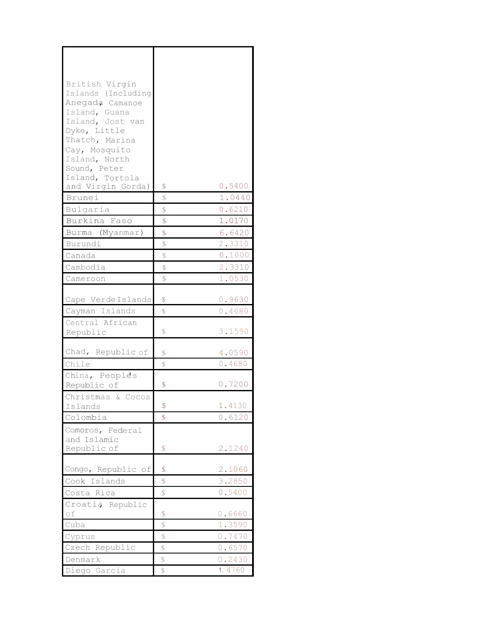| British Virgin                        |                        |        |
|---------------------------------------|------------------------|--------|
| Islands (Including<br>Anegada Camanoe |                        |        |
| Island, Guana                         |                        |        |
| Island, Jost van                      |                        |        |
| Dyke, Little                          |                        |        |
| Thatch, Marina                        |                        |        |
| Cay, Mosquito                         |                        |        |
| Island, North                         |                        |        |
| Sound, Peter                          |                        |        |
| Island, Tortola<br>and Virgin Gorda)  | \$                     | 0.5400 |
| Brunei                                | $\mathcal{S}$          | 1.0440 |
| Bulgaria                              | \$                     | 0.6210 |
| Burkina Faso                          | \$                     | 1.0170 |
|                                       | \$                     | 6.6420 |
| Burma (Myanmar)                       |                        |        |
| Burundi                               | $\mathbb{S}$           | 2.3310 |
| Canada                                | $\mathcal{S}$          | 0.1000 |
| Cambodia                              | \$                     | 2.3310 |
| Cameroon                              | \$                     | 1.0530 |
|                                       |                        |        |
| Cape Verde Islands                    | \$                     | 0.9630 |
| Cayman Islands                        | $\mathcal{S}$          | 0.4680 |
| Central African                       |                        |        |
| Republic                              | \$                     | 3.1590 |
| Chad, Republic of                     | \$                     | 4.0590 |
| Chile                                 | \$                     | 0.4680 |
| China, Peoples                        |                        |        |
| Republic of                           | \$                     | 0.7200 |
| Christmas & Cocos                     |                        |        |
| Islands                               | \$                     | 1.4130 |
| Colombia                              | \$                     | 0.6120 |
| Comoros, Federal                      |                        |        |
| and Islamic                           |                        |        |
| Republic of                           | \$                     | 2.1240 |
|                                       |                        |        |
| Congo, Republic of                    | \$                     | 2.1060 |
| Cook Islands                          | $\sqrt{\frac{2}{\pi}}$ | 3.2850 |
| Costa Rica                            | \$                     | 0.5400 |
| Croatia Republic                      |                        |        |
| of                                    | $\mathbb S$            | 0.6660 |
| Cuba                                  | \$                     | 1.3590 |
| Cyprus                                | \$                     | 0.7470 |
| Czech Republic                        | $\mathbb S$            | 0.6570 |
| Denmark                               | \$                     | 0.2430 |
| Diego Garcia                          | \$                     | 1.4760 |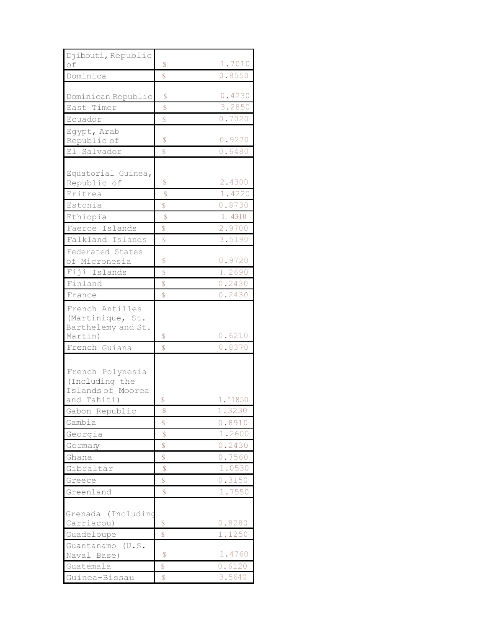| Djibouti, Republic<br>оf                                  | S                       | 1.7010           |
|-----------------------------------------------------------|-------------------------|------------------|
| Dominica                                                  | $\overline{\mathbb{S}}$ | 0.8550           |
|                                                           |                         |                  |
| Dominican Republic                                        | S                       | 0.4230           |
| East Timer                                                | \$                      | 3.2850           |
| Ecuador                                                   | $\mathbb S$             | 0.7020           |
| Egypt, Arab<br>Republic of                                | \$                      | 0.9270           |
| El Salvador                                               | $\mathcal{S}$           | 0.6480           |
| Equatorial Guinea,<br>Republic of                         | \$                      | 2.4300           |
| Eritrea                                                   | $\mathcal{S}$           | 1.4220           |
| Estonia                                                   | $\overline{\mathbb{S}}$ | 0.8730           |
| Ethiopia                                                  | $\mathcal{S}$           | 1.4310           |
| Faeroe Islands                                            | \$                      | 2.9700           |
| Falkland Islands                                          | \$                      | 3.5190           |
| Federated States<br>of Micronesia                         | \$                      | 0.9720           |
| Fiji Islands                                              | $\mathcal{S}$           | 1.2690           |
| Finland                                                   | \$                      | 0.2430           |
| France                                                    | $\mathcal{S}$           | 0.2430           |
| French Antilles<br>(Martinique, St.<br>Barthelemy and St. |                         | 0.6210           |
| Martin)<br>French Guiana                                  | \$<br>$\mathsf{\$}$     | 0.8370           |
|                                                           |                         |                  |
| French Polynesia<br>(Including the<br>Islands of Moorea   |                         |                  |
| and Tahiti)                                               | \$                      | 1.'1850          |
| Gabon Republic                                            | S                       | 1.3230           |
| Gambia                                                    | \$                      | 0.8910           |
| Georgia                                                   | \$                      | 1.2600           |
| Germany                                                   | \$                      | 0.2430           |
| Ghana                                                     | \$                      | 0.7560           |
| Gibraltar                                                 | \$                      | 1.0530           |
| Greece                                                    | $\mathbb{S}$            | 0.3150           |
| Greenland                                                 | \$                      | 1.7550           |
| Grenada (Includino<br>Carriacou)<br>Guadeloupe            | S<br>\$                 | 0.8280<br>1.1250 |
| Guantanamo<br>(U.S.<br>Naval Base)                        | $\mathcal{S}$           | 1.4760           |
| Guatemala                                                 | \$                      | 0.6120           |
| Guinea-Bissau                                             | \$                      | 3.5640           |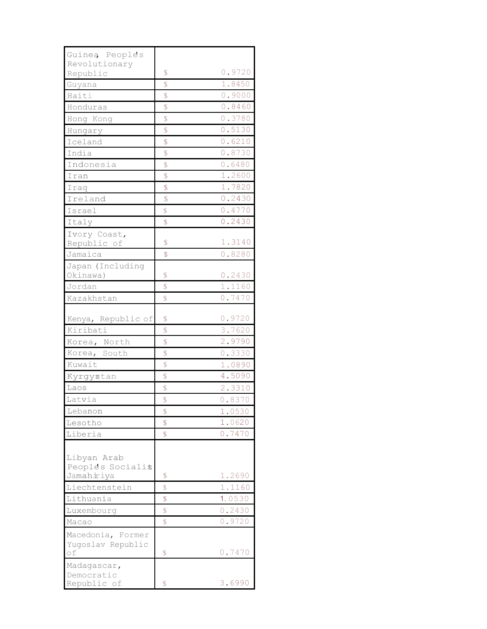| Guinea People's    |                    |        |
|--------------------|--------------------|--------|
| Revolutionary      |                    |        |
| Republic           | \$                 | 0.9720 |
| Guyana             | $\hat{\mathbb{S}}$ | 1.8450 |
| Haiti              | \$                 | 0.9000 |
| Honduras           | $\mathcal{S}$      | 0.8460 |
| Hong Kong          | \$                 | 0.3780 |
| Hungary            | \$                 | 0.5130 |
| Iceland            | \$                 | 0.6210 |
| India              | \$                 | 0.8730 |
| Indonesia          | $\mathbf{\hat{S}}$ | 0.6480 |
| Iran               | \$                 | 1.2600 |
| Iraq               | \$                 | 1.7820 |
| Ireland            | \$                 | 0.2430 |
| Israel             | \$                 | 0.4770 |
| Italy              | $\mathcal{S}$      | 0.2430 |
| Ivory Coast,       |                    |        |
| Republic of        | \$                 | 1.3140 |
| Jamaica            | \$                 | 0.8280 |
| Japan (Including   |                    |        |
| Okinawa)           | \$                 | 0.2430 |
| Jordan             | $\mathcal{S}$      | 1.1160 |
| Kazakhstan         | \$                 | 0.7470 |
|                    |                    |        |
| Kenya, Republic of | \$                 | 0.9720 |
| Kiribati           | \$                 | 3.7620 |
| Korea, North       | \$                 | 2.9790 |
| Korea, South       | \$                 | 0.3330 |
| Kuwait             | \$                 | 1.0890 |
| Kyrgystan          | \$                 | 4.5090 |
| Laos               | \$                 | 2.3310 |
| Latvia             | \$                 | 0.8370 |
| Lebanon            | \$                 | 1.0530 |
| Lesotho            | \$                 | 1.0620 |
| Liberia            | \$                 | 0.7470 |
|                    |                    |        |
| Libyan Arab        |                    |        |
| Peoples Socialis   |                    |        |
| Jamahiriya         | \$                 | 1.2690 |
| Liechtenstein      | \$                 | 1.1160 |
| Lithuania          | \$                 | 1.0530 |
| Luxembourg         | \$                 | 0.2430 |
| Macao              | $\hat{\mathbb{S}}$ | 0.9720 |
| Macedonia, Former  |                    |        |
| Yugoslav Republic  |                    |        |
| of                 | \$                 | 0.7470 |
| Madagascar,        |                    |        |
| Democratic         |                    |        |
| Republic of        | $\mathcal{S}$      | 3.6990 |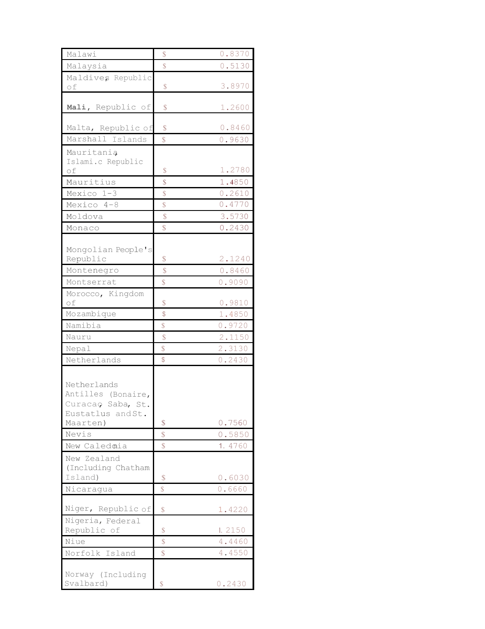| Malawi                                                                      | \$                      | 0.8370 |
|-----------------------------------------------------------------------------|-------------------------|--------|
| Malaysia                                                                    | \$                      | 0.5130 |
|                                                                             |                         |        |
| Maldives Republic<br>of                                                     | \$                      | 3.8970 |
| Mali, Republic of                                                           | \$                      | 1.2600 |
| Malta, Republic of                                                          | \$                      | 0.8460 |
| Marshall Islands                                                            | $\mathbb{S}$            | 0.9630 |
| Mauritania<br>Islami.c Republic                                             |                         |        |
| of                                                                          | \$                      | 1.2780 |
| Mauritius                                                                   | \$                      | 1.4850 |
| Mexico 1-3                                                                  | \$                      | 0.2610 |
| Mexico 4-8                                                                  | \$                      | 0.4770 |
| Moldova                                                                     | \$                      | 3.5730 |
| Monaco                                                                      | \$                      | 0.2430 |
| Mongolian People's                                                          |                         |        |
| Republic                                                                    | \$                      | 2.1240 |
| Montenegro                                                                  | \$                      | 0.8460 |
| Montserrat                                                                  | $\overline{\mathbb{S}}$ | 0.9090 |
| Morocco, Kingdom<br>оf                                                      | S                       | 0.9810 |
| Mozambique                                                                  | \$                      | 1.4850 |
| Namibia                                                                     | \$                      | 0.9720 |
| Nauru                                                                       | \$                      | 2.1150 |
| Nepal                                                                       | $\mathbb{S}$            | 2.3130 |
| Netherlands                                                                 | \$                      | 0.2430 |
| Netherlands<br>Antilles (Bonaire,<br>Curacao Saba, St.<br>Eustatlus and St. |                         |        |
| Maarten)                                                                    | \$                      | 0.7560 |
| Nevis                                                                       | \$                      | 0.5850 |
| New Caledmia                                                                | \$                      | 1.4760 |
| New Zealand<br>(Including Chatham                                           |                         |        |
| Island)                                                                     | \$                      | 0.6030 |
| Nicaragua                                                                   | $\mathcal{S}$           | 0.6660 |
| Niger, Republic of                                                          | \$                      | 1.4220 |
| Nigeria, Federal<br>Republic of                                             | \$                      | 1.2150 |
| Niue                                                                        | \$                      | 4.4460 |
| Norfolk Island                                                              | \$                      | 4.4550 |
| Norway (Including                                                           |                         |        |
| Svalbard)                                                                   | $\mathcal{S}$           | 0.2430 |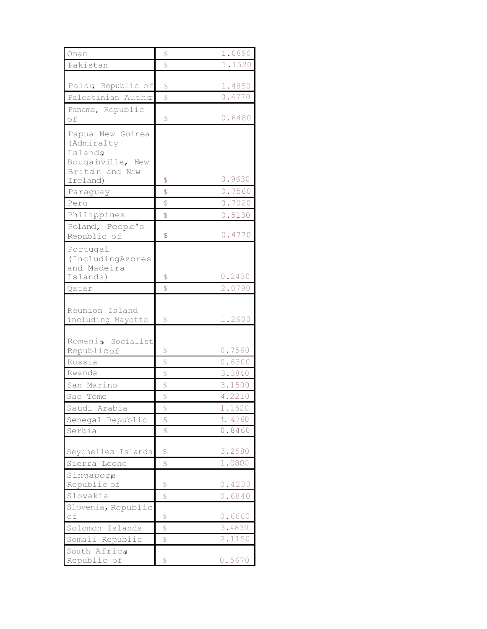| Oman                        | \$                      | 1.0890           |
|-----------------------------|-------------------------|------------------|
| Pakistan                    | $\mathcal{S}$           | 1.1520           |
|                             |                         |                  |
| Palaų Republic of           | S                       | 1.4850           |
| Palestinian Author          | $\overline{\mathbb{S}}$ | 0.4770           |
| Panama, Republic            |                         |                  |
| of                          | \$                      | 0.6480           |
| Papua New Guinea            |                         |                  |
| (Admiralty                  |                         |                  |
| Islands<br>Bouganville, New |                         |                  |
| Britan and New              |                         |                  |
| Ireland)                    | \$                      | 0.9630           |
| Paraguay                    | \$                      | 0.7560           |
| Peru                        | \$                      | 0.7020           |
| Philippines                 | $\mathbb{S}$            | 0.5130           |
| Poland, Peopl's             |                         |                  |
| Republic of                 | \$                      | 0.4770           |
| Portugal                    |                         |                  |
| (IncludingAzores            |                         |                  |
| and Madeira<br>Islands)     | \$                      | 0.2430           |
| Qatar                       | $\overline{\mathbb{S}}$ | 2.0790           |
|                             |                         |                  |
| Reunion Island              |                         |                  |
| including Mayotte           | $\mathcal{S}$           | 1.2600           |
|                             |                         |                  |
| Romania Socialist           |                         |                  |
| Republicof                  | \$                      | 0.7560           |
| Russia                      | $\sqrt{\frac{2}{5}}$    | 0.6300           |
| Rwanda                      | $\hat{\mathbb{S}}$      | 3.3840           |
| San Marino                  | \$                      | 3.1500           |
| Sao Tome                    | \$                      | 4.2210           |
| Saudi Arabia                | \$                      | 1.1520           |
| Senegal Republic            | \$                      | 1. 4760          |
| Serbia                      | \$                      | 0.8460           |
|                             |                         |                  |
| Seychelles Islands          | \$                      | 3.2580<br>1.0800 |
| Sierra<br>Leone             | \$                      |                  |
| Singapore<br>Republic of    | \$                      | 0.4230           |
| Slovakia                    | $\mathbb{S}$            | 0.6840           |
| Slovenia, Republic          |                         |                  |
| of                          | \$                      | 0.6660           |
| Islands<br>Solomon          | \$                      | 3.4830           |
| Somali Republic             | \$                      | 2.1150           |
| South Africa                |                         |                  |
| Republic of                 | \$                      | 0.5670           |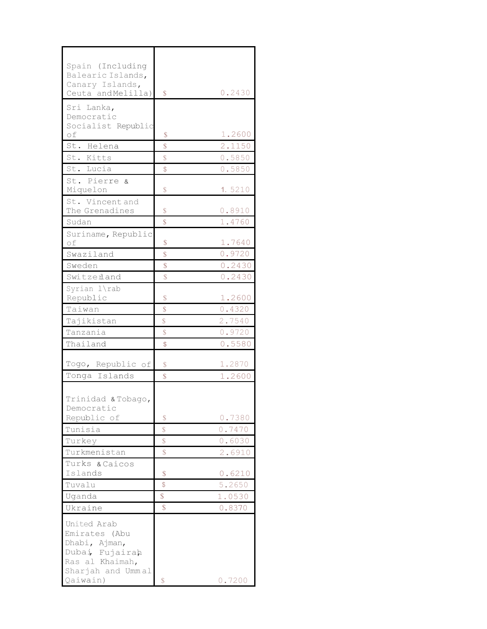| Spain (Including         |                    |        |
|--------------------------|--------------------|--------|
| Balearic Islands,        |                    |        |
| Canary Islands,          |                    |        |
| Ceuta and Melilla)       | <sup>\$</sup>      | 0.2430 |
| Sri Lanka,               |                    |        |
| Democratic               |                    |        |
| Socialist Republic       |                    |        |
| of                       | \$                 | 1.2600 |
| St. Helena               | \$                 | 2.1150 |
| St. Kitts                | $\mathbb{S}$       | 0.5850 |
| St. Lucia                | $\mathbb{S}$       | 0.5850 |
| St. Pierre &             |                    |        |
| Miquelon                 | \$                 | 1.5210 |
| St. Vincent and          |                    |        |
| The Grenadines           | \$                 | 0.8910 |
| Sudan                    | \$                 | 1.4760 |
| Suriname, Republic<br>of |                    |        |
|                          | \$                 | 1.7640 |
| Swaziland                | \$                 | 0.9720 |
| Sweden                   | $\mathcal{S}$      | 0.2430 |
| Switzerland              | \$                 | 0.2430 |
| Syrian l\rab             |                    |        |
| Republic                 | \$                 | 1.2600 |
| Taiwan                   | $\mathcal{S}$      | 0.4320 |
| Tajikistan               | $\mathcal{S}$      | 2.7540 |
| Tanzania                 | $\mathcal{S}$      | 0.9720 |
| Thailand                 | \$                 | 0.5580 |
|                          |                    |        |
| Togo, Republic of        | \$                 | 1.2870 |
| Tonga Islands            | $\mathbb{S}$       | 1.2600 |
|                          |                    |        |
| Trinidad & Tobago,       |                    |        |
| Democratic               |                    |        |
| Republic of              | S                  | 0.7380 |
| Tunisia                  | $\hat{\mathbb{S}}$ | 0.7470 |
| Turkey                   | \$                 | 0.6030 |
| Turkmenistan             | $\mathbb{S}$       | 2.6910 |
| Turks & Caicos           |                    |        |
| Islands                  | \$                 | 0.6210 |
| Tuvalu                   | $\mathcal{S}$      | 5.2650 |
| Uganda                   | \$                 | 1.0530 |
| Ukraine                  | $\mathcal{S}$      | 0.8370 |
| United Arab              |                    |        |
| Emirates (Abu            |                    |        |
| Dhabi, Ajman,            |                    |        |
| Dubai Fujairah           |                    |        |
| Ras al Khaimah,          |                    |        |
| Sharjah and Ummal        |                    |        |
| Qaiwain)                 | \$                 | 0.7200 |